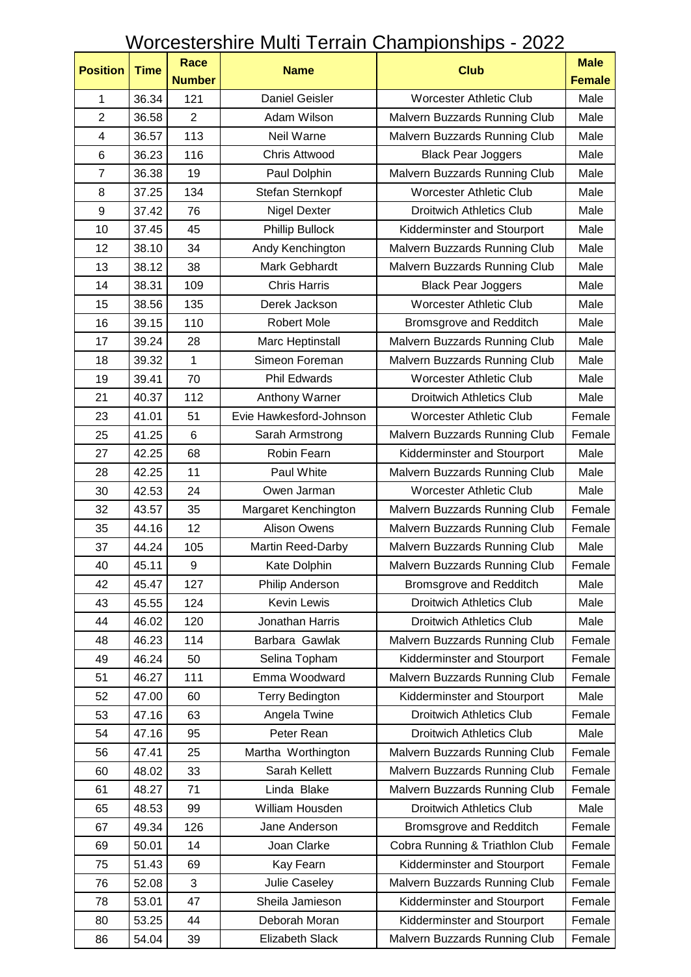## Worcestershire Multi Terrain Championships - 2022

| <b>Position</b>         | <b>Time</b> | <b>Race</b>      | <b>Name</b>             | <b>Club</b>                     | <b>Male</b>   |
|-------------------------|-------------|------------------|-------------------------|---------------------------------|---------------|
|                         |             | <b>Number</b>    |                         |                                 | <b>Female</b> |
| $\mathbf{1}$            | 36.34       | 121              | <b>Daniel Geisler</b>   | <b>Worcester Athletic Club</b>  | Male          |
| $\overline{2}$          | 36.58       | $\overline{2}$   | Adam Wilson             | Malvern Buzzards Running Club   | Male          |
| $\overline{\mathbf{4}}$ | 36.57       | 113              | Neil Warne              | Malvern Buzzards Running Club   | Male          |
| 6                       | 36.23       | 116              | Chris Attwood           | <b>Black Pear Joggers</b>       | Male          |
| $\overline{7}$          | 36.38       | 19               | Paul Dolphin            | Malvern Buzzards Running Club   | Male          |
| 8                       | 37.25       | 134              | Stefan Sternkopf        | <b>Worcester Athletic Club</b>  | Male          |
| 9                       | 37.42       | 76               | Nigel Dexter            | <b>Droitwich Athletics Club</b> | Male          |
| 10                      | 37.45       | 45               | Phillip Bullock         | Kidderminster and Stourport     | Male          |
| 12                      | 38.10       | 34               | Andy Kenchington        | Malvern Buzzards Running Club   | Male          |
| 13                      | 38.12       | 38               | Mark Gebhardt           | Malvern Buzzards Running Club   | Male          |
| 14                      | 38.31       | 109              | <b>Chris Harris</b>     | <b>Black Pear Joggers</b>       | Male          |
| 15                      | 38.56       | 135              | Derek Jackson           | <b>Worcester Athletic Club</b>  | Male          |
| 16                      | 39.15       | 110              | <b>Robert Mole</b>      | Bromsgrove and Redditch         | Male          |
| 17                      | 39.24       | 28               | Marc Heptinstall        | Malvern Buzzards Running Club   | Male          |
| 18                      | 39.32       | $\mathbf{1}$     | Simeon Foreman          | Malvern Buzzards Running Club   | Male          |
| 19                      | 39.41       | 70               | <b>Phil Edwards</b>     | <b>Worcester Athletic Club</b>  | Male          |
| 21                      | 40.37       | 112              | Anthony Warner          | <b>Droitwich Athletics Club</b> | Male          |
| 23                      | 41.01       | 51               | Evie Hawkesford-Johnson | <b>Worcester Athletic Club</b>  | Female        |
| 25                      | 41.25       | 6                | Sarah Armstrong         | Malvern Buzzards Running Club   | Female        |
| 27                      | 42.25       | 68               | Robin Fearn             | Kidderminster and Stourport     | Male          |
| 28                      | 42.25       | 11               | Paul White              | Malvern Buzzards Running Club   | Male          |
| 30                      | 42.53       | 24               | Owen Jarman             | <b>Worcester Athletic Club</b>  | Male          |
| 32                      | 43.57       | 35               | Margaret Kenchington    | Malvern Buzzards Running Club   | Female        |
| 35                      | 44.16       | 12               | <b>Alison Owens</b>     | Malvern Buzzards Running Club   | Female        |
| 37                      | 44.24       | 105              | Martin Reed-Darby       | Malvern Buzzards Running Club   | Male          |
| 40                      | 45.11       | $\boldsymbol{9}$ | Kate Dolphin            | Malvern Buzzards Running Club   | Female        |
| 42                      | 45.47       | 127              | Philip Anderson         | Bromsgrove and Redditch         | Male          |
| 43                      | 45.55       | 124              | Kevin Lewis             | <b>Droitwich Athletics Club</b> | Male          |
| 44                      | 46.02       | 120              | Jonathan Harris         | <b>Droitwich Athletics Club</b> | Male          |
| 48                      | 46.23       | 114              | Barbara Gawlak          | Malvern Buzzards Running Club   | Female        |
| 49                      | 46.24       | 50               | Selina Topham           | Kidderminster and Stourport     | Female        |
| 51                      | 46.27       | 111              | Emma Woodward           | Malvern Buzzards Running Club   | Female        |
| 52                      | 47.00       | 60               | <b>Terry Bedington</b>  | Kidderminster and Stourport     | Male          |
| 53                      | 47.16       | 63               | Angela Twine            | <b>Droitwich Athletics Club</b> | Female        |
| 54                      | 47.16       | 95               | Peter Rean              | <b>Droitwich Athletics Club</b> | Male          |
| 56                      | 47.41       | 25               | Martha Worthington      | Malvern Buzzards Running Club   | Female        |
| 60                      | 48.02       | 33               | Sarah Kellett           | Malvern Buzzards Running Club   | Female        |
| 61                      | 48.27       | 71               | Linda Blake             | Malvern Buzzards Running Club   | Female        |
| 65                      | 48.53       | 99               | William Housden         | <b>Droitwich Athletics Club</b> | Male          |
| 67                      | 49.34       | 126              | Jane Anderson           | Bromsgrove and Redditch         | Female        |
| 69                      | 50.01       | 14               | Joan Clarke             | Cobra Running & Triathlon Club  | Female        |
| 75                      | 51.43       | 69               | Kay Fearn               | Kidderminster and Stourport     | Female        |
| 76                      | 52.08       | 3                | Julie Caseley           | Malvern Buzzards Running Club   | Female        |
| 78                      | 53.01       | 47               | Sheila Jamieson         | Kidderminster and Stourport     | Female        |
| 80                      | 53.25       | 44               | Deborah Moran           | Kidderminster and Stourport     | Female        |
| 86                      | 54.04       | 39               | Elizabeth Slack         | Malvern Buzzards Running Club   | Female        |